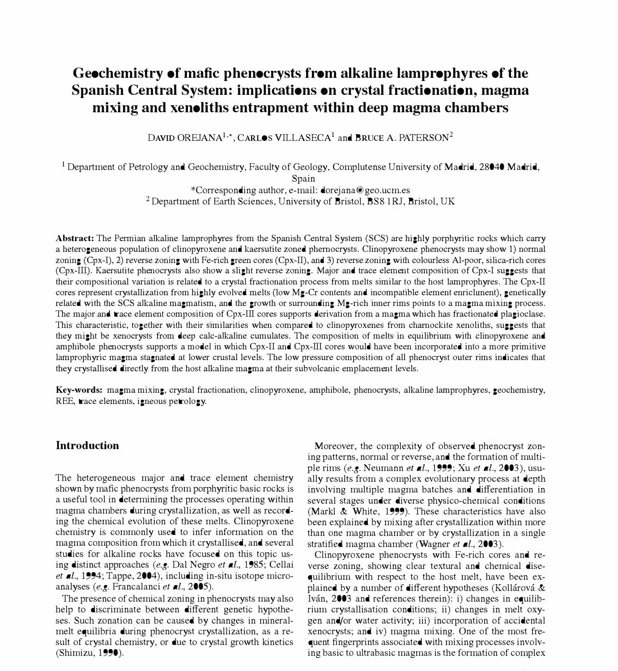# Geochemistry of mafic phenocrysts from alkaline lamprophyres of the Spanish Central System: implications on crystal fractionation, magma mixing and xenoliths entrapment within deep magma chambers

DAVID OREJANA<sup>1,\*</sup>, CARL $\bullet$ s VILLASECA<sup>1</sup> and Bruce A. PATERSON<sup>2</sup>

<sup>1</sup> Department of Petrology and Geochemistry, Faculty of Geology, Complutense University of Madrid, 28040 Madrid,

Spain

\*Corresponding author, e-mail: dorejana@geo.ucm.es <sup>2</sup> Department of Earth Sciences, University of Bristol, BS8 1RJ, Bristol, UK

Abstract: The Perrnian alkaline lamprophyres from the Spanish Central System (SCS) are highly porphyritic rocks which carry a heterogeneous population of clinopyroxene and kaersutite zoned phemocrysts. Clinopyroxene phenocrysts may show 1) normal zoning (Cpx-I), 2) reverse zoning with Fe-rich green cores (Cpx-II), and 3) reverse zoning with colourless AI-poor, silica-rich cores (Cpx-III). Kaersutite phenocrysts also show a slight reverse zoning. Major and trace element composition of Cpx-I suggests that their compositional variation is related to a crystal fractionation process from melts similar to the host larnprophyres. The Cpx-II cores represent crystallization from highly evolved melts (low Mg-Cr contents and incompatible element enriclnnent), genetically related with the SCS alkaline magmatism, and the growth or surrounding Mg-rich inner rims points to a magma mixing process. The major and trace element composition of Cpx-III cores supports derivation from a magma which has fractionated plagioclase. This characteristic, together with their similarities when compared to clinopyroxenes from chamockite xenoliths, suggests that they might be xenocrysts from deep calc-alkaline cumulates. The composition of melts in equilibrium with clinopyroxene and arnphibole phenocrysts supports a model in which Cpx-II and Cpx-III cores would have been incorporated into a more primitive larnprophyric magma stagnated at lower crustal levels. The low pressure composition of all phenocryst outer rims indicates that they crystallised directly from the host alkaline magma at their subvolcanic emplacement levels.

Key-words: magma mixing, crystal fractionation, clinopyroxene, arnphibole, phenocrysts, alkaline larnprophyres, geochemistry, REE, trace elements, igneous petrology.

# Introduction

The heterogeneous major and trace element chemistry shown by mafic phenocrysts from porphyritic basic rocks is a useful tool in determining the processes operating within magma chambers during crystallization, as well as recording the chemical evolution of these melts. Clinopyroxene chemistry is commonly used to infer information on the magma composition from which it crystallised, and several studies for alkaline rocks have focused on this topic using distinct approaches (e.g. Dal Negro et al., 1985; Cellai et al., 1994; Tappe, 2004), including in-situ isotope microanalyses (e.g. Francalanci et al., 2005).

The presence of chemical zoning in phenocrysts may also help to discriminate between different genetic hypotheses. Such zonation can be caused by changes in mineralmelt equilibria during phenocryst crystallization, as a result of crystal chemistry, or due to crystal growth kinetics (Shimizu, 1990).

Moreover, the complexity of observed phenocryst zoning patterns, normal or reverse, and the formation of multiple rims (e.g. Neumann et al., 1999; XU et al., 2003), usually results from a complex evolutionary process at depth involving multiple magma batches and differentiation in several stages under diverse physico-chemical conditions (Markl  $\&$  White, 1999). These characteristics have also been explained by mixing after crystallization within more than one magma chamber or by crystallization in a single stratified magma chamber (Wagner et al., 2003).

Clinopyroxene phenocrysts with Fe-rich cores and reverse zoning, showing clear textural and chemical disequilibrium with respect to the host melt, have been explained by a number of different hypotheses (Kollárová & Iván, 2003 and references therein): i) changes in equilibrium crystallisation conditions; ii) changes in melt oxygen and/or water activity; iii) incorporation of accidental xenocrysts; and iv) magma mixing. One of the most frequent fingerprints associated with mixing processes involving basic to ultrabasic magmas is the formation of complex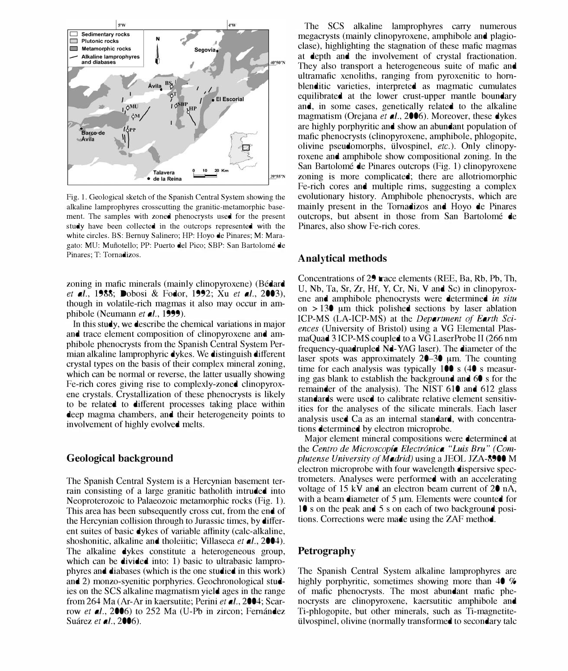

Fig. 1. Geological sketch of the Spanish Central System showing the alkaline lamprophyres crosscutting the granitic-metamorphic basement. The samples with zoned phenocrysts used for the present study have been collected in the outcrops represented with the white circles. BS: Bernuy Salinero; HP: Hoyo de Pinares; M: Maragato: MU: Muñotello; PP: Puerto del Pico; SBP: San Bartolomé de Pinares; T: Tornadizos.

zoning in mafic minerals (mainly clinopyroxene) (Bedard et al., 1988; Dobosi & Fodor, 1992; Xu et al., 2003), though in volatile-rich magmas it also may occur in amphibole (Neumann et al., 1999).

In this study, we describe the chemical variations in major and trace element composition of clinopyroxene and amphibole phenocrysts from the Spanish Central System Permian alkaline lamprophyric dykes. We distinguish different crystal types on the basis of their complex mineral zoning, which can be normal or reverse, the latter usually showing Fe-rich cores giving rise to complexly-zoned clinopyroxene crystals. Crystallization of these phenocrysts is likely to be related to different processes taking place within deep magma chambers, and their heterogeneity points to involvement of highly evolved melts.

# Geological background

The Spanish Central System is a Hercynian basement terrain consisting of a large granitic batholith intruded into Neoproterozoic to Palaeozoic metamorphic rocks (Fig. 1). This area has been subsequently cross cut, from the end of the Hercynian collision through to Jurassic times, by different suites of basic dykes of variable affinity (calc-alkaline, shoshonitic, alkaline and tholeiitic; Villaseca et al., 2004). The alkaline dykes constitute a heterogeneous group, which can be **divided** into: 1) basic to ultrabasic lamprophyres and diabases (which is the one studied in this work) and 2) monzo-syenitic porphyries. Geochronological studies on the SCS alkaline magmatism yield ages in the range from 264 Ma (Ar-Ar in kaersutite; Perini et al., 2004; Scarrow et al., 2006) to 252 Ma (U-Pb in zircon; Fernández Suárez *et al.*, 2006).

The SCS alkaline lamprophyres carry numerous megacrysts (mainly clinopyroxene, amphibole and plagioclase), highlighting the stagnation of these mafic magmas at depth and the involvement of crystal fractionation. They also transport a heterogeneous suite of mafic and ultramafic xenoliths, ranging from pyroxenitic to hornblenditic varieties, interpreted as magmatic cumulates equilibrated at the lower crust-upper mantle boundary and, in some cases, genetically related to the alkaline magmatism (Orejana *et al.*, 2006). Moreover, these dykes are highly porphyritic and show an abundant population of mafic phenocrysts (clinopyroxene, amphibole, phlogopite, olivine pseudomorphs, iilvospinel, etc.). Only clinopyroxene and amphibole show compositional zoning. In the San Bartolomé de Pinares outcrops (Fig. 1) clinopyroxene zoning is more complicated; there are allotriomorphic Fe-rich cores and multiple rims, suggesting a complex evolutionary history. Amphibole phenocrysts, which are mainly present in the Tornadizos and Hoyo de Pinares outcrops, but absent in those from San Bartolome de Pinares, also show Fe-rich cores.

### Analytical methods

Concentrations of 29 trace elements (REE, Ba, Rb, Pb, Th, U, Nb, Ta, Sr, Zr, Hf, Y, Cr, Ni, V and Sc) in clinopyroxene and amphibole phenocrysts were determined in situ on  $> 130 \mu$  m thick polished sections by laser ablation ICP-MS (LA-ICP-MS) at the Department of Earth Sciences (University of Bristol) using a VG Elemental PlasmaQuad 3 ICP-MS coupled to a VG LaserProbe 11 (266 nm frequency-quadrupled Nd-YAG laser). The diameter of the laser spots was approximately  $20-30 \mu m$ . The counting time for each analysis was typically 100 s (40 s measuring gas blank to establish the background and 60 s for the remainder of the analysis). The NIST 610 and 612 glass standards were used to calibrate relative element sensitivities for the analyses of the silicate minerals. Each laser analysis used Ca as an internal standard, with concentrations determined by electron microprobe.

Major element mineral compositions were determined at the Centro de Microscopía Electrónica "Luis Bru" (Complutense University of Madrid) using a JEOL JZA-8900 M electron microprobe with four wavelength dispersive spectrometers. Analyses were performed with an accelerating voltage of 15 kV and an electron beam current of 20 nA, with a beam diameter of  $5 \mu m$ . Elements were counted for 10 s on the peak and 5 s on each of two background positions. Corrections were made using the ZAP method.

# Petrography

The Spanish Central System alkaline lamprophyres are highly porphyritic, sometimes showing more than 40 % of mafic phenocrysts. The most abundant mafic phenocrysts are clinopyroxene, kaersutitic amphibole and Ti-phlogopite, but other minerals, such as Ti-magnetiteiilvospinel, olivine (normally transformed to secondary talc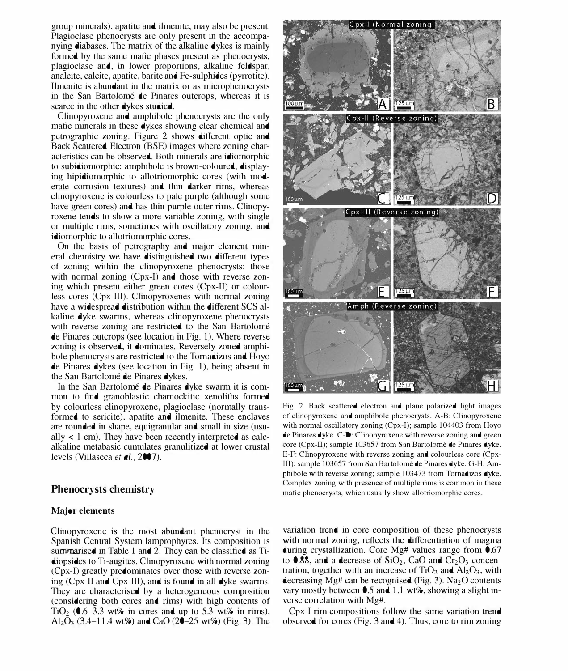group minerals), apatite and ilmenite, may also be present. Plagioclase phenocrysts are only present in the accompanying diabases. The matrix of the alkaline dykes is mainly formed by the same mafic phases present as phenocrysts, plagioclase and, in lower proportions, alkaline feldspar, analcite, calcite, apatite, barite and Fe-sulphides (pyrrotite). Ilmenite is abundant in the matrix or as microphenocrysts in the San Bartolomé de Pinares outcrops, whereas it is scarce in the other dykes studied.

Clinopyroxene and amphibole phenocrysts are the only mafic minerals in these dykes showing clear chemical and petrographic zoning. Figure 2 shows different optic and Back Scattered Electron (BSE) images where zoning characteristics can be observed. Both minerals are idiomorphic to subidiomorphic: amphibole is brown-coloured, displaying hipidiomorphic to allotriomorphic cores (with moderate corrosion textures) and thin darker rims, whereas clinopyroxene is colourless to pale purple (although some have green cores) and has thin purple outer rims. Clinopyroxene tends to show a more variable zoning, with single or multiple rims, sometimes with oscillatory zoning, and idiomorphic to allotriomorphic cores.

On the basis of petrography and major element mineral chemistry we have distinguished two different types of zoning within the clinopyroxene phenocrysts: those with normal zoning (Cpx-I) and those with reverse zoning which present either green cores (Cpx-II) or colourless cores (Cpx-III). Clinopyroxenes with normal zoning have a widespread distribution within the different SCS alkaline dyke swarms, whereas clinopyroxene phenocrysts with reverse zoning are restricted to the San Bartolomé de Pinares outcrops (see location in Fig. 1). Where reverse zoning is observed, it dominates. Reversely zoned amphibole phenocrysts are restricted to the Tornadizos and Hoyo de Pinares dykes (see location in Fig. 1), being absent in the San Bartolomé de Pinares dykes.

In the San Bartolomé de Pinares dyke swarm it is common to find granoblastic charnockitic xenoliths formed by colourless clinopyroxene, plagioclase (normally transformed to sericite), apatite and ilmenite. These enclaves are rounded in shape, equigranular and small in size (usually  $< 1$  cm). They have been recently interpreted as calcalkaline metabasic cumulates granulitized at lower crustal levels (Villaseca et al., 2007).

# Phenocrysts chemistry

#### Major elements

Clinopyroxene is the most abundant phenocryst in the Spanish Central System lamprophyres. Its composition is summarised in Table 1 and 2. They can be classified as Tidiopsides to Ti-augites. Clinopyroxene with normal zoning (Cpx-I) greatly predominates over those with reverse zoning (Cpx-II and Cpx-III), and is found in all dyke swarms. They are characterised by a heterogeneous composition (considering both cores and rims) with high contents of TiO<sub>2</sub> (0.6–3.3 wt% in cores and up to 5.3 wt% in rims), Al<sub>2</sub>O<sub>3</sub> (3.4–11.4 wt%) and CaO (20–25 wt%) (Fig. 3). The



Fig. 2. Back scattered electron and plane polarized light images of clinopyroxene and amphibole phenocrysts. A-B: Clinopyroxene with normal oscillatory zoning (Cpx-I); sample 104403 from Hoyo de Pinares dyke. C-D: Clinopyroxene with reverse zoning and green core (Cpx-II); sample 103657 from San Bartolomé de Pinares dyke. E-F: Clinopyroxene with reverse zoning and colourless core (Cpx-III); sample 103657 from San Bartolomé de Pinares dyke. G-H: Amphibole with reverse zoning; sample 103473 from Tornadizos dyke. Complex zoning with presence of multiple rims is common in these mafic phenocrysts, which usually show allotriomorphic cores.

variation trend in core composition of these phenocrysts with normal zoning, reflects the differentiation of magma during crystallization. Core Mg# values range from 0.67 to 0.88, and a decrease of  $SiO<sub>2</sub>$ , CaO and  $Cr<sub>2</sub>O<sub>3</sub>$  concentration, together with an increase of  $TiO<sub>2</sub>$  and  $Al<sub>2</sub>O<sub>3</sub>$ , with decreasing Mg# can be recognised (Fig. 3). Na<sub>2</sub>O contents vary mostly between 0.5 and 1.1 wt%, showing a slight inverse correlation with Mg#.

Cpx-I rim compositions follow the same variation trend observed for cores (Fig. 3 and 4). Thus, core to rim zoning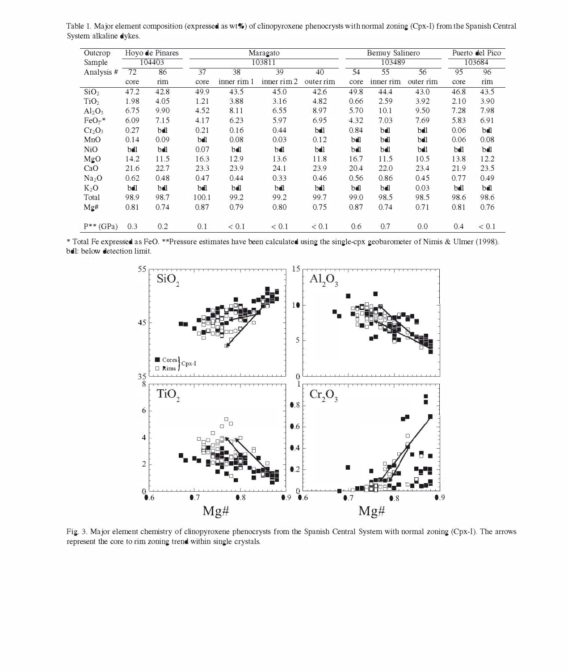| Outcrop                        | Hoyo de Pinares |      |       |             | Maragato       |           |      | Bemuy Salinero | Puerto del Pico |      |       |
|--------------------------------|-----------------|------|-------|-------------|----------------|-----------|------|----------------|-----------------|------|-------|
| Sample                         | 104403          |      |       |             | 103811         |           |      | 103489         | 103684          |      |       |
| Analysis #                     | 72              | 86   | 37    | 38          | 39             | 40        | 54   | 55             | 56              | 95   | 96    |
|                                | core            | rim  | core  | inner rim 1 | inner $r$ im 2 | outer rim | core | inner rim      | outer rim       | core | rim   |
| SiO <sub>2</sub>               | 47.2            | 42.8 | 49.9  | 43.5        | 45.0           | 42.6      | 49.8 | 44.4           | 43.0            | 46.8 | 43.5  |
| TiO <sub>2</sub>               | 1.98            | 4.05 | 1.21  | 3.88        | 3.16           | 4.82      | 0.66 | 2.59           | 3.92            | 2.10 | 3.90  |
| $Al_2O_3$                      | 6.75            | 9.90 | 4.52  | 8.11        | 6.55           | 8.97      | 5.70 | 10.1           | 9.50            | 7.28 | 7.98  |
| $FeOT$ *                       | 6.09            | 7.15 | 4.17  | 6.23        | 5.97           | 6.95      | 4.32 | 7.03           | 7.69            | 5.83 | 6.91  |
| Cr <sub>2</sub> O <sub>3</sub> | 0.27            | bdl  | 0.21  | 0.16        | 0.44           | bdl       | 0.84 | bdl            | bdl             | 0.06 | bdl   |
| MnO                            | 0.14            | 0.09 | bdl   | 0.08        | 0.03           | 0.12      | bdl  | bdl            | bdl             | 0.06 | 0.08  |
| <b>NiO</b>                     | bdl             | bdl  | 0.07  | bdl         | bdl            | bdl       | bdl  | bdl            | bdl             | bdl  | bdl   |
| MgO                            | 14.2            | 11.5 | 16.3  | 12.9        | 13.6           | 11.8      | 16.7 | 11.5           | 10.5            | 13.8 | 12.2  |
| CaO                            | 21.6            | 22.7 | 23.3  | 23.9        | 24.1           | 23.9      | 20.4 | 22.0           | 23.4            | 21.9 | 23.5  |
| Na <sub>2</sub> O              | 0.62            | 0.48 | 0.47  | 0.44        | 0.33           | 0.46      | 0.56 | 0.86           | 0.45            | 0.77 | 0.49  |
| $K_2O$                         | bdl             | bdl  | bdl   | bdl         | bdl            | bdl       | bdl  | bdl            | 0.03            | bdl  | bdl   |
| Total                          | 98.9            | 98.7 | 100.1 | 99.2        | 99.2           | 99.7      | 99.0 | 98.5           | 98.5            | 98.6 | 98.6  |
| Mg#                            | 0.81            | 0.74 | 0.87  | 0.79        | 0.80           | 0.75      | 0.87 | 0.74           | 0.71            | 0.81 | 0.76  |
|                                |                 |      |       |             |                |           |      |                |                 |      |       |
| $P^{**}$ (GPa)                 | 0.3             | 0.2  | 0.1   | < 0.1       | < 0.1          | < 0.1     | 0.6  | 0.7            | 0.0             | 0.4  | < 0.1 |

Table 1. Major element composition (expressed as wt%) of c1inopyroxene phenocrysts with normal zoning (Cpx-I) from the Spanish Central System alkaline dykes.

\* Total Fe expressed as FeO. \*\*Pressure estimates have been calculated using the single-cpx geobarometer of Nimis & Ulmer (1998). bdl: below detection limit.



Fig. 3. Major element chemistry of clinopyroxene phenocrysts from the Spanish Central System with normal zoning (Cpx-I). The arrows represent the core to rim zoning trend within single crystals.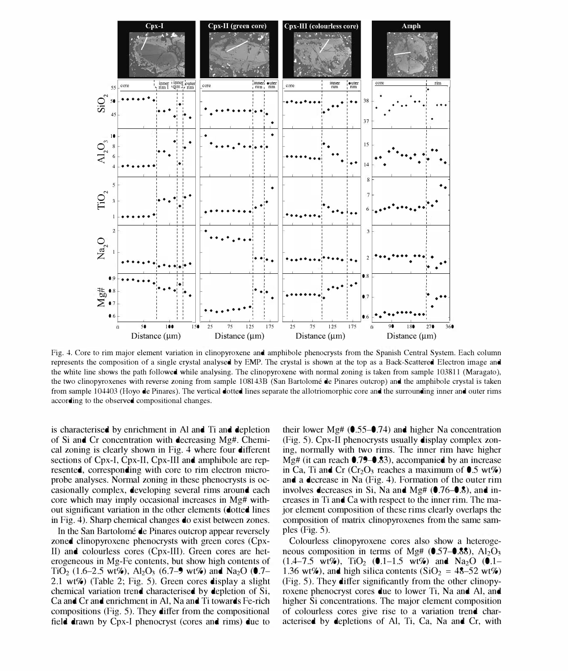

Fig. 4. Core to rim major element variation in clinopyroxene and amphibole phenocrysts from the Spanish Central System. Each column represents the composition of a single crystal analysed by EMP. The crystal is shown at the top as a Back-Scattered Electron image and the white line shows the path followed while analysing. The clinopyroxene with normal zoning is taken from sample 103811 (Maragato), the two clinopyroxenes with reverse zoning from sample 108143B (San Bartolomé de Pinares outcrop) and the amphibole crystal is taken from sample 104403 (Hoyo de Pinares). The vertical dotted lines separate the allotriomorphic core and the surrounding inner and outer rims according to the observed compositional changes.

is characterised by enrichment in Al and Ti and depletion of Si and Cr concentration with decreasing Mg#. Chemical zoning is clearly shown in Fig. 4 where four different sections of Cpx-I, Cpx-II, Cpx-III and amphibole are represented, corresponding with core to rim electron microprobe analyses. Normal zoning in these phenocrysts is occasionally complex, developing several rims around each core which may imply occasional increases in Mg# without significant variation in the other elements (dotted lines in Fig. 4). Sharp chemical changes **do** exist between zones.

In the San Bartolomé de Pinares outcrop appear reversely zoned clinopyroxene phenocrysts with green cores (Cpx-II) and colourless cores (Cpx-III). Green cores are heterogeneous in Mg-Fe contents, but show high contents of TiO<sub>2</sub> (1.6–2.5 wt%), Al<sub>2</sub>O<sub>3</sub> (6.7–9 wt%) and Na<sub>2</sub>O (0.7– 2.1  $wt\%$ ) (Table 2; Fig. 5). Green cores display a slight chemical variation trend characterised by depletion of Si, Ca and Cr and enrichment in Al, Na and Ti towards Fe-rich compositions (Fig. 5). They differ from the compositional field drawn by Cpx-I phenocryst (cores and rims) due to their lower Mg#  $(0.55-0.74)$  and higher Na concentration (Fig. 5). Cpx-II phenocrysts usually display complex zoning, normally with two rims. The inner rim have higher Mg# (it can reach  $0.79-0.83$ ), accompanied by an increase in Ca, Ti and Cr  $(Cr_2O_3$  reaches a maximum of  $\bullet.5$  wt%) and a decrease in Na (Fig. 4). Formation of the outer rim involves decreases in Si, Na and Mg# (0.76–0.8), and increases in Ti and Ca with respect to the inner rim. The major element composition of these rims clearly overlaps the composition of matrix clinopyroxenes from the same samples  $(Fig. 5)$ .

Colourless clinopyroxene cores also show a heterogeneous composition in terms of Mg#  $(0.57-0.88)$ , Al<sub>2</sub>O<sub>3</sub>  $(1.4-7.5 \text{ wt\%}), TiO_2$  (0.1-1.5 wt%) and Na<sub>2</sub>O (0.1-1.36 wt%), and high silica contents (SiO<sub>2</sub> = 48–52 wt%) (Fig. 5). They differ significantly from the other clinopyroxene phenocryst cores due to lower Ti, Na and Al, and higher Si concentrations. The major element composition of colourless cores give rise to a variation trend characterised by depletions of Al, Ti, Ca, Na and Cr, with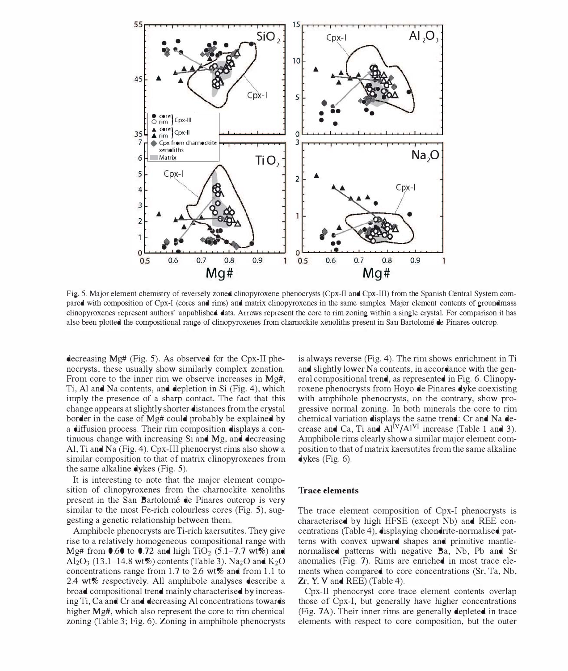

Fig. 5. Major element chemistry of reversely zoned clinopyroxene phenocrysts (Cpx-II and Cpx-III) from the Spanish Central System compared with composition of Cpx-I (cores and rims) and matrix clinopyroxenes in the same samples. Major element contents of groundmass clinopyroxenes represent authors' unpublished data. Arrows represent the core to rim zoning within a single crystal. For comparison it has also been plotted the compositional range of clinopyroxenes from charnockite xenoliths present in San Bartolomé de Pinares outcrop.

decreasing Mg# (Fig. 5). As observed for the Cpx-II phenocrysts, these usually show similarly complex zonation. From core to the inner rim we observe increases in Mg#, Ti, Al and Na contents, and depletion in Si (Fig. 4), which imply the presence of a sharp contact. The fact that this change appears at slightly shorter distances from the crystal border in the case of Mg# could probably be explained by a diffusion process. Their rim composition displays a continuous change with increasing Si and Mg, and decreasing AI, Ti and Na (Fig. 4). Cpx-III phenocryst rims also show a similar composition to that of matrix clinopyroxenes from the same alkaline dykes (Fig. 5).

It is interesting to note that the major element composition of clinopyroxenes from the charnockite xenoliths present in the San Bartolomé de Pinares outcrop is very similar to the most Fe-rich colourless cores (Fig. 5), suggesting a genetic relationship between them.

Amphibole phenocrysts are Ti-rich kaersutites. They give rise to a relatively homogeneous compositional range with Mg# from 0.60 to 0.72 and high  $TiO<sub>2</sub>$  (5.1-7.7 wt%) and  $Al_2O_3$  (13.1–14.8 wt%) contents (Table 3). Na<sub>2</sub>O and K<sub>2</sub>O concentrations range from 1.7 to 2.6 wt% and from 1.1 to 2.4 wt% respectively. All amphibole analyses describe a broad compositional trend mainly characterised by increasing Ti, Ca and Cr and decreasing Al concentrations towards higher Mg#, which also represent the core to rim chemical zoning (Table 3; Fig. 6). Zoning in amphibole phenocrysts

is always reverse (Fig. 4). The rim shows enrichment in Ti and slightly lower Na contents, in accordance with the general compositional trend, as represented in Fig. 6. Clinopyroxene phenocrysts from Hoyo de Pinares dyke coexisting with amphibole phenocrysts, on the contrary, show progressive normal zoning. In both minerals the core to rim chemical variation displays the same trend: Cr and Na decrease and Ca, Ti and  $Al^{IV}/Al^{VI}$  increase (Table 1 and 3). Amphibole rims clearly show a similar major element composition to that of matrix kaersutites from the same alkaline dykes  $(Fig. 6)$ .

#### Trace elements

The trace element composition of Cpx-I phenocrysts is characterised by high HFSE (except Nb) and REE concentrations (Table 4), displaying chondrite-normalised patterns with convex upward shapes and primitive mantlenormalised patterns with negative Ba, Nb, Pb and Sr anomalies (Fig. 7). Rims are enriched in most trace elements when compared to core concentrations (Sr, Ta, Nb, Zr, Y, V and REE) (Table 4).

Cpx-II phenocryst core trace element contents overlap those of Cpx-I, but generally have higher concentrations (Fig. 7A). Their inner rims are generally depleted in trace elements with respect to core composition, but the outer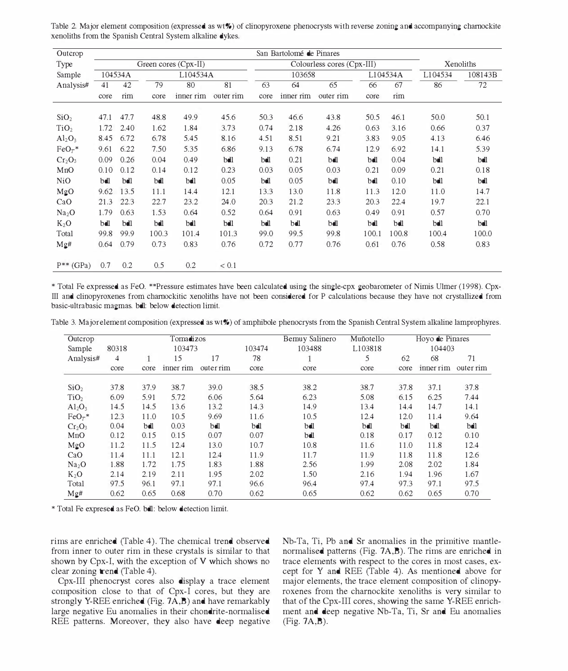| Outcrop           |         |      |       |                      |           |        | San Bartolomé de Pinares   |           |       |       |         |         |  |
|-------------------|---------|------|-------|----------------------|-----------|--------|----------------------------|-----------|-------|-------|---------|---------|--|
| Type              |         |      |       | Green cores (Cpx-II) |           |        | Colourless cores (Cpx-III) | Xenoliths |       |       |         |         |  |
| Sample            | 104534A |      |       | L104534A             |           | 103658 |                            |           |       |       | L104534 | 108143B |  |
| Analysis#         | 41      | 42   | 79    | 80                   | 81        | 63     | 64                         | 65        | 66    | 67    | 86      | 72      |  |
|                   | core    | rim  | core  | inner rim            | outer rim | core   | inner rim                  | outer rim | core  | rim   |         |         |  |
|                   |         |      |       |                      |           |        |                            |           |       |       |         |         |  |
| SiO <sub>2</sub>  | 47.1    | 47.7 | 48.8  | 49.9                 | 45.6      | 50.3   | 46.6                       | 43.8      | 50.5  | 46.1  | 50.0    | 50.1    |  |
| TiO <sub>2</sub>  | 1.72    | 2.40 | 1.62  | 1.84                 | 3.73      | 0.74   | 2.18                       | 4.26      | 0.63  | 3.16  | 0.66    | 0.37    |  |
| $Al_2O_3$         | 8.45    | 6.72 | 6.78  | 5.45                 | 8.16      | 4.51   | 8.51                       | 9.21      | 3.83  | 9.05  | 4.13    | 6.46    |  |
| $FeOT$ *          | 9.61    | 6.22 | 7.50  | 5.35                 | 6.86      | 9.13   | 6.78                       | 6.74      | 12.9  | 6.92  | 14.1    | 5.39    |  |
| $Cr_2O_3$         | 0.09    | 0.26 | 0.04  | 0.49                 | bdl       | bdl    | 0.21                       | bdl       | bdl   | 0.04  | bdl     | bdl     |  |
| MnO               | 0.10    | 0.12 | 0.14  | 0.12                 | 0.23      | 0.03   | 0.05                       | 0.03      | 0.21  | 0.09  | 0.21    | 0.18    |  |
| N <sub>i</sub> O  | bdl     | bdl  | bdl   | bdl                  | 0.05      | bdl    | 0.05                       | bdl       | bdl   | 0.10  | bdl     | bdl     |  |
| MgO               | 9.62    | 13.5 | 11.1  | 14.4                 | 12.1      | 13.3   | 13.0                       | 11.8      | 11.3  | 12.0  | 11.0    | 14.7    |  |
| CaO               | 21.3    | 22.3 | 22.7  | 23.2                 | 24.0      | 20.3   | 21.2                       | 23.3      | 20.3  | 22.4  | 19.7    | 22.1    |  |
| Na <sub>2</sub> O | 1.79    | 0.63 | 1.53  | 0.64                 | 0.52      | 0.64   | 0.91                       | 0.63      | 0.49  | 0.91  | 0.57    | 0.70    |  |
| $K_2O$            | bdl     | bdl  | bdl   | bdl                  | bdl       | bdl    | bdl                        | bdl       | bdl   | bdl   | bdl     | bdl     |  |
| Total             | 99.8    | 99.9 | 100.3 | 101.4                | 101.3     | 99.0   | 99.5                       | 99.8      | 100.1 | 100.8 | 100.4   | 100.0   |  |
| Mg#               | 0.64    | 0.79 | 0.73  | 0.83                 | 0.76      | 0.72   | 0.77                       | 0.76      | 0.61  | 0.76  | 0.58    | 0.83    |  |
| $P^{**}$ (GPa)    | 0.7     | 0.2  | 0.5   | 0.2                  | < 0.1     |        |                            |           |       |       |         |         |  |

Table 2. Major element composition (expressed as  $w(\mathcal{H})$  of clinopyroxene phenocrysts with reverse zoning and accompanying charnockite xenoliths from the Spanish Central System alkaline dykes.

\* Total Fe expressed as FeO. \*\*Pressure estimates have been calculated using the single-cpx geobarometer of Nimis Ulmer (1998). Cpx-III and clinopyroxenes from charnockitic xenoliths have not been considered for P calculations because they have not crystallized from basic-ultrabasic magmas. bdl: below detection limit.

Table 3. Major element composition (expressed as wt%) of amphibole phenocrysts from the Spanish Central System alkaline lamprophyres.

| Outcrop                        |       |      | Tomadizos |           |        | Bemuy Salinero | Muñotello |      | Hoyo de Pinares |           |
|--------------------------------|-------|------|-----------|-----------|--------|----------------|-----------|------|-----------------|-----------|
| Sample                         | 80318 |      | 103473    |           | 103474 | 103488         | L103818   |      | 104403          |           |
| Analysis#                      | 4     |      | 15        | 17        | 78     |                | 5         | 62   | 68              | 71        |
|                                | core  | core | inner rim | outer rim | core   | core           | core      | core | inner rim       | outer rim |
| SiO <sub>2</sub>               | 37.8  | 37.9 | 38.7      | 39.0      | 38.5   | 38.2           | 38.7      | 37.8 | 37.1            | 37.8      |
| TiO <sub>2</sub>               | 6.09  | 5.91 | 5.72      | 6.06      | 5.64   | 6.23           | 5.08      | 6.15 | 6.25            | 7.44      |
| $A1_2O_3$                      | 14.5  | 14.5 | 13.6      | 13.2      | 14.3   | 14.9           | 13.4      | 14.4 | 14.7            | 14.1      |
| $FeOT$ *                       | 12.3  | 11.0 | 10.5      | 9.69      | 11.6   | 10.5           | 12.4      | 12.0 | 11.4            | 9.64      |
| Cr <sub>2</sub> O <sub>3</sub> | 0.04  | bdl  | 0.03      | bdl       | bdl    | bdl            | bdl       | bdl  | bdl             | bdl       |
| MnO                            | 0.12  | 0.15 | 0.15      | 0.07      | 0.07   | bdl            | 0.18      | 0.17 | 0.12            | 0.10      |
| MgO                            | 11.2  | 11.5 | 12.4      | 13.0      | 10.7   | 10.8           | 11.6      | 11.0 | 11.8            | 12.4      |
| CaO                            | 11.4  | 11.1 | 12.1      | 12.4      | 11.9   | 11.7           | 11.9      | 11.8 | 11.8            | 12.6      |
| Na <sub>2</sub> O              | 1.88  | 1.72 | 1.75      | 1.83      | 1.88   | 2.56           | 1.99      | 2.08 | 2.02            | 1.84      |
| $K_2O$                         | 2.14  | 2.19 | 2.11      | 1.95      | 2.02   | 1.50           | 2.16      | 1.94 | 1.96            | 1.67      |
| Total                          | 97.5  | 96.1 | 97.1      | 97.1      | 96.6   | 96.4           | 97.4      | 97.3 | 97.1            | 97.5      |
| Mg#                            | 0.62  | 0.65 | 0.68      | 0.70      | 0.62   | 0.65           | 0.62      | 0.62 | 0.65            | 0.70      |

\* Total Fe expresed as FeO. bdl: below detection limit.

rims are enriched (Table 4). The chemical trend observed from inner to outer rim in these crystals is similar to that shown by Cpx-J, with the exception of V which shows no clear zoning trend (Table 4).

Cpx-III phenocryst cores also display a trace element composition close to that of Cpx-I cores, but they are strongly Y-REE enriched (Fig. 7A,B) and have remarkably large negative Eu anomalies in their chondrite-normalised REE patterns. Moreover, they also have deep negative Nb-Ta, Ti, Pb and Sr anomalies in the primitive mantlenormalised patterns (Fig. 7A,B). The rims are enriched in trace elements with respect to the cores in most cases, except for Y and REE (Table 4). As mentioned above for major elements, the trace element composition of clinopyroxenes from the charnockite xenoliths is very similar to that of the Cpx-III cores, showing the same Y-REE enrichment and deep negative Nb-Ta, Ti, Sr and Eu anomalies (Fig. 7A,B).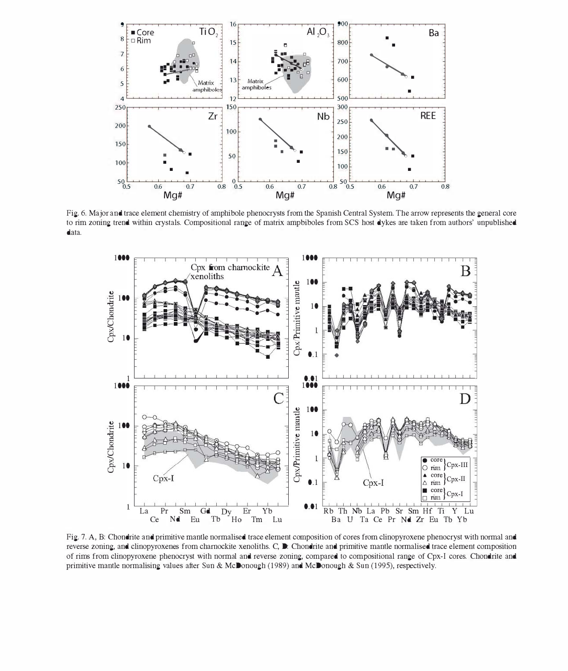

Fig. 6. Major and trace element chemistry of amphibole phenocrysts from the Spanish Central System. The arrow represents the general core to rim zoning trend within crystals. Compositional range of matrix ampbiboles from SCS host dykes are taken from authors' unpublished data.



Fig. 7. A, B: Chondrite and primitive mantle normalised trace element composition of cores from clinopyroxene phenocryst with normal and reverse zoning, and clinopyroxenes from charnockite xenoliths. C, D: Chondrite and primitive mantle normalised trace element composition of rims from clinopyroxene phenocryst with normal and reverse zoning, compared to compositional range of Cpx-I cores. Chondrite and primitive mantle normalising values after Sun & McDonough (1989) and McDonough & Sun (1995), respectively.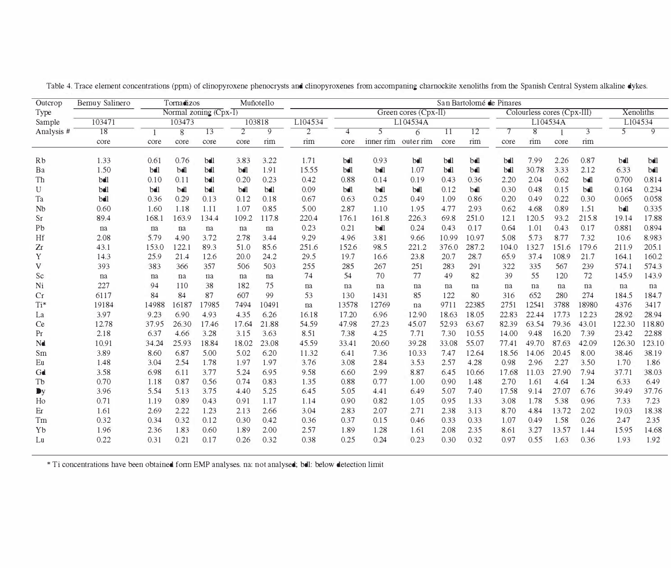| Outcrop        | Bemuy Salinero | Tornadizos<br>Muñotello |            |                                    |                |                |                |                                                    |                | San Bartolomé de Pinares |       |       |                   |                |                  |       |        |                |  |
|----------------|----------------|-------------------------|------------|------------------------------------|----------------|----------------|----------------|----------------------------------------------------|----------------|--------------------------|-------|-------|-------------------|----------------|------------------|-------|--------|----------------|--|
| Type           |                |                         |            | Normal zoning $(\overline{Cpx-1})$ |                |                |                | Green cores (Cpx-II)<br>Colourless cores (Cpx-III) |                |                          |       |       |                   |                | <b>Xenoliths</b> |       |        |                |  |
| Sample         | 103471         |                         | 103473     |                                    |                | 103818         | L104534        |                                                    |                | L104534A                 |       |       | L104534A          |                |                  |       |        | L104534        |  |
| Analysis #     | 18             | $\mathbf{1}$            | 8          | 13                                 | $\overline{2}$ | $\overline{9}$ | $\overline{2}$ | $\overline{4}$                                     | $\overline{5}$ | 6                        | 11    | 12    | $\overline{\tau}$ | $\overline{8}$ |                  | 3     | 5      | $\overline{Q}$ |  |
|                | core           | core                    | core       | core                               | core           | rim            | rim            | core                                               |                | inner rim outer rim      | core  | rim   | core              | rim            | core             | rim   |        |                |  |
| <b>Rb</b>      | 1.33           | 0.61                    | 0.76       | bdl                                | 3.83           | 3.22           | 1.71           | bdl                                                | 0.93           | bdl                      | bdl   | bdl   | bdl               | 7.99           | 2.26             | 0.87  | bdl    | bdl            |  |
| Ba             | 1.50           | bdl                     | <b>bdl</b> | bdl                                | bdl            | 1.91           | 15.55          | bdl                                                | bdl            | 1.07                     | bdl   | bdl   | bdl               | 30.78          | 3.33             | 2.12  | 6.33   | bdl            |  |
| Th             | bdl            | 0.10                    | 0.11       | bdl                                | 0.20           | 0.23           | 0.42           | 0.88                                               | 0.14           | 0.19                     | 0.43  | 0.36  | 2.20              | 2.04           | 0.62             | bdl   | 0.700  | 0.814          |  |
| U              | bdl            | bdl                     | bdl        | bdl                                | bdl            | bdl            | 0.09           | bdl                                                | bdl            | bdl                      | 0.12  | bdl   | 0.30              | 0.48           | 0.15             | bdl   | 0.164  | 0.234          |  |
| Ta             | bdl            | 0.36                    | 0.29       | 0.13                               | 0.12           | 0.18           | 0.67           | 0.63                                               | 0.25           | 0.49                     | 1.09  | 0.86  | 0.20              | 0.49           | 0.22             | 0.30  | 0.065  | 0.058          |  |
| Nb             | 0.60           | 1.60                    | 1.18       | 1.11                               | 1.07           | 0.85           | 5.00           | 2.87                                               | 1.10           | 1.95                     | 4.77  | 2.93  | 0.62              | 4.68           | 0.89             | 1.51  | bdl    | 0.335          |  |
| Sr             | 89.4           | 168.1                   | 163.9      | 134.4                              | 109.2          | 117.8          | 220.4          | 176.1                                              | 161.8          | 226.3                    | 69.8  | 251.0 | 12.1              | 120.5          | 93.2             | 215.8 | 19.14  | 17.88          |  |
| Pb             | na             | na                      | na         | na                                 | na             | na             | 0.23           | 0.21                                               | bdl            | 0.24                     | 0.43  | 0.17  | 0.64              | 1.01           | 0.43             | 0.17  | 0.881  | 0.894          |  |
| Hf             | 2.08           | 5.79                    | 4.90       | 3.72                               | 2.78           | 3.44           | 9.29           | 4.96                                               | 3.81           | 9.66                     | 10.99 | 10.97 | 5.08              | 5.73           | 8.77             | 7.32  | 10.6   | 8.983          |  |
| Zr             | 43.1           | 153.0                   | 122.1      | 89.3                               | 51.0           | 85.6           | 251.6          | 152.6                                              | 98.5           | 221.2                    | 376.0 | 287.2 | 104.0             | 132.7          | 151.6            | 179.6 | 211.9  | 205.1          |  |
| Y              | 14.3           | 25.9                    | 21.4       | 12.6                               | 20.0           | 24.2           | 29.5           | 19.7                                               | 16.6           | 23.8                     | 20.7  | 28.7  | 65.9              | 37.4           | 108.9            | 21.7  | 164.1  | 160.2          |  |
| V              | 393            | 383                     | 366        | 357                                | 506            | 503            | 255            | 285                                                | 267            | 251                      | 283   | 291   | 322               | 335            | 567              | 239   | 574.1  | 574.3          |  |
| Sc             | na             | na                      | na         | na                                 | na             | na             | 74             | 54                                                 | 70             | 77                       | 49    | 82    | 39                | 55             | 120              | 72    | 145.9  | 143.9          |  |
| Ni             | 227            | 94                      | 110        | 38                                 | 182            | 75             | na             | na                                                 | na             | na                       | na    | na    | na                | na             | na               | na    | na     | na             |  |
| Cr             | 6117           | 84                      | 84         | 87                                 | 607            | 99             | 53             | 130                                                | 1431           | 85                       | 122   | 80    | 316               | 652            | 280              | 274   | 184.5  | 184.7          |  |
| $Ti*$          | 19184          | 14988                   | 16187      | 17985                              | 7494           | 10491          | na             | 13578                                              | 12769          | na                       | 9711  | 22385 | 2751              | 12541          | 3788             | 18980 | 4376   | 3417           |  |
| La             | 3.97           | 9.23                    | 6.90       | 4.93                               | 4.35           | 6.26           | 16.18          | 17.20                                              | 6.96           | 12.90                    | 18.63 | 18.05 | 22.83             | 22.44          | 17.73            | 12.23 | 28.92  | 28.94          |  |
| Ce             | 12.78          | 37.95                   | 26.30      | 17.46                              | 17.64          | 21.88          | 54.59          | 47.98                                              | 27.23          | 45.07                    | 52.93 | 63.67 | 82.39             | 63.54          | 79.36            | 43.01 | 122.30 | 118.80         |  |
| Pr             | 2.18           | 6.37                    | 4.66       | 3.28                               | 3.15           | 3.63           | 8.51           | 7.38                                               | 4.25           | 7.71                     | 7.30  | 10.55 | 14.00             | 9.48           | 16.20            | 7.39  | 23.42  | 22.88          |  |
| Nd             | 10.91          | 34.24                   | 25.93      | 18.84                              | 18.02          | 23.08          | 45.59          | 33.41                                              | 20.60          | 39.28                    | 33.08 | 55.07 | 77.41             | 49.70          | 87.63            | 42.09 | 126.30 | 123.10         |  |
| Sm             | 3.89           | 8.60                    | 6.87       | 5.00                               | 5.02           | 6.20           | 11.32          | 6.41                                               | 7.36           | 10.33                    | 7.47  | 12.64 | 18.56             | 14.06          | 20.45            | 8.00  | 38.46  | 38.19          |  |
| Eu             | 1.48           | 3.04                    | 2.54       | 1.78                               | 1.97           | 1.97           | 3.76           | 3.08                                               | 2.84           | 3.53                     | 2.57  | 4.28  | 0.98              | 2.96           | 2.27             | 3.50  | 1.70   | 1.86           |  |
| Gd             | 3.58           | 6.98                    | 6.11       | 3.77                               | 5.24           | 6.95           | 9.58           | 6.60                                               | 2.99           | 8.87                     | 6.45  | 10.66 | 17.68             | 11.03          | 27.90            | 7.94  | 37.71  | 38.03          |  |
| Tb             | 0.70           | 1.18                    | 0.87       | 0.56                               | 0.74           | 0.83           | 1.35           | 0.88                                               | 0.77           | 1.00                     | 0.90  | 1.48  | 2.70              | 1.61           | 4.64             | 1.24  | 6.33   | 6.49           |  |
| $\mathbf{D}$ y | 3.96           | 5.54                    | 5.13       | 3.75                               | 4.40           | 5.25           | 6.45           | 5.05                                               | 4.41           | 6.49                     | 5.07  | 7.40  | 17.58             | 9.14           | 27.07            | 6.76  | 39.49  | 37.76          |  |
| Ho             | 0.71           | 1.19                    | 0.89       | 0.43                               | 0.91           | 1.17           | 1.14           | 0.90                                               | 0.82           | 1.05                     | 0.95  | 1.33  | 3.08              | 1.78           | 5.38             | 0.96  | 7.33   | 7.23           |  |
| Er             | 1.61           | 2.69                    | 2.22       | 1.23                               | 2.13           | 2.66           | 3.04           | 2.83                                               | 2.07           | 2.71                     | 2.38  | 3.13  | 8.70              | 4.84           | 13.72            | 2.02  | 19.03  | 18.38          |  |
| Tm             | 0.32           | 0.34                    | 0.32       | 0.12                               | 0.30           | 0.42           | 0.36           | 0.37                                               | 0.15           | 0.46                     | 0.33  | 0.33  | 1.07              | 0.49           | 1.58             | 0.26  | 2.47   | 2.35           |  |
| Yb             | 1.96           | 2.36                    | 1.83       | 0.60                               | 1.89           | 2.00           | 2.57           | 1.89                                               | 1.28           | 1.61                     | 2.08  | 2.35  | 8.61              | 3.27           | 13.57            | 1.44  | 15.95  | 14.68          |  |
| Lu             | 0.22           | 0.31                    | 0.21       | 0.17                               | 0.26           | 0.32           | 0.38           | 0.25                                               | 0.24           | 0.23                     | 0.30  | 0.32  | 0.97              | 0.55           | 1.63             | 0.36  | 1.93   | 1.92           |  |

Table 4. Trace element concentrations (ppm) of clinopyroxene phenocrysts and clinopyroxenes from accompaning charnockite xenoliths from the Spanish Central System alkaline dykes.

\* Ti concentrations have been obtained fonn EMP analyses. na: not analysed; bdl: below detection limit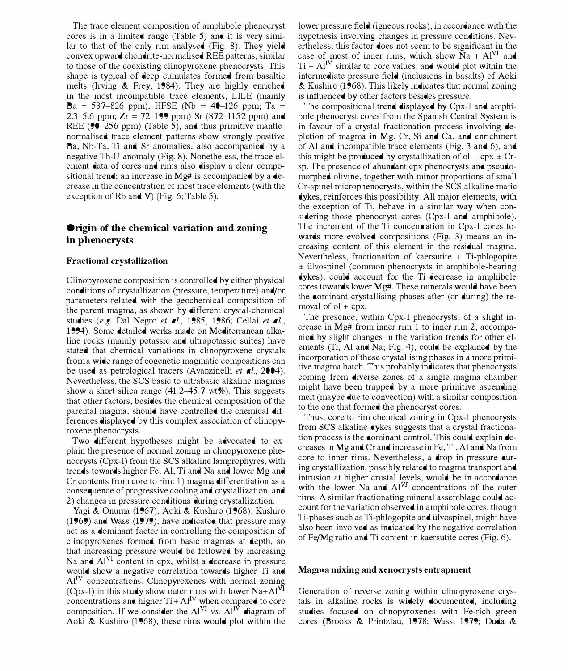The trace element composition of amphibole phenocryst cores is in a limited range (Table 5) and it is very similar to that of the only rim analysed (Fig. 8). They yield convex upward chondrite-normalised REE patterns, similar to those of the coexisting clinopyroxene phenocrysts. This shape is typical of deep cumulates formed from basaltic melts (Irving & Frey, 1984). They are highly enriched in the most incompatible trace elements, LILE (mainly  $Ba = 537-826$  ppm), HFSE (Nb = 40-126 ppm; Ta = 2.3–5.6 ppm;  $Zr = 72$ –199 ppm) Sr (872–1152 ppm) and REE (**90**-256 ppm) (Table 5), and thus primitive mantlenormalised trace element patterns show strongly positive Ba, Nb-Ta, Ti and Sr anomalies, also accompanied by a negative Th-U anomaly (Fig. 8). Nonetheless, the trace element data of cores and rims also display a clear compositional trend; an increase in Mg# is accompanied by a decrease in the concentration of most trace elements (with the exception of Rb and V) (Fig. 6; Table 5).

# Origin of the chemical variation and zoning in phenocrysts

#### Fractional crystallization

Clinopyroxene composition is controlled by either physical conditions of crystallization (pressure, temperature) and/or parameters related with the geochemical composition of the parent magma, as shown by different crystal-chemical studies (e.g. Dal Negro et al., 1985, 1986; Cellai et al., 1994). Some detailed works made on Mediterranean alkaline rocks (mainly potassic and ultrapotassic suites) have stated that chemical variations in clinopyroxene crystals from a wide range of cogenetic magmatic compositions can be used as petrological tracers (Avanzinelli *et al.*, 2004). Nevertheless, the SCS basic to ultrabasic alkaline magmas show a short silica range  $(41.2-45.7 \text{ wt})$ . This suggests that other factors, besides the chemical composition of the parental magma, should have controlled the chemical differences displayed by this complex association of clinopyroxene phenocrysts.

Two different hypotheses might be advocated to explain the presence of normal zoning in clinopyroxene phenocrysts (Cpx-I) from the SCS alkaline lamprophyres, with trends towards higher Fe, AI, Ti and Na and lower Mg and Cr contents from core to rim: 1) magma differentiation as a consequence of progressive cooling and crystallization, and 2) changes in pressure conditions during crystallization.

Yagi & Onuma (1967), Aoki & Kushiro (1968), Kushiro (1969) and Wass (1979), have indicated that pressure may act as a dominant factor in controlling the composition of clinopyroxenes formed from basic magmas at depth, so that increasing pressure would be followed by increasing Na and  $Al<sup>VI</sup>$  content in cpx, whilst a decrease in pressure would show a negative correlation towards higher Ti and  $Al<sup>IV</sup>$  concentrations. Clinopyroxenes with normal zoning (Cpx-I) in this study show outer rims with lower  $Na + Al<sup>VI</sup>$ concentrations and higher  $Ti + Al<sup>IV</sup>$  when compared to core composition. If we consider the  $Al<sup>VI</sup>$  vs.  $Al<sup>N</sup>$  diagram of Aoki & Kushiro (1968), these rims would plot within the

lower pressure field (igneous rocks), in accordance with the hypothesis involving changes in pressure conditions. Nevertheless, this factor does not seem to be significant in the case of most of inner rims, which show  $Na + Al<sup>VI</sup>$  and  $Ti + Al<sup>IV</sup>$  similar to core values, and would plot within the intermediate pressure field (inclusions in basalts) of Aoki & Kushiro (1968). This likely indicates that normal zoning is influenced by other factors besides pressure.

The compositional trend displayed by Cpx-I and amphibole phenocryst cores from the Spanish Central System is in favour of a crystal fractionation process involving depletion of magma in Mg, Cr, Si and Ca, and enrichment of Al and incompatible trace elements (Fig. 3 and 6), and this might be produced by crystallization of  $ol + cpx \pm Cr$ sp. The presence of abundant cpx phenocrysts and pseudomorphed olivine, together with minor proportions of small Cr-spinel microphenocrysts, within the SCS alkaline mafic dykes, reinforces this possibility. All major elements, with the exception of Ti, behave in a similar way when considering those phenocryst cores (Cpx-I and amphibole). The increment of the Ti concentration in Cpx-I cores towards more evolved compositions (Fig. 3) means an increasing content of this element in the residual magma. Nevertheless, fractionation of kaersutite  $+$  Ti-phlogopite ± tilvospinel (common phenocrysts in amphibole-bearing dykes), could account for the Ti decrease in amphibole cores towards lower Mg#. These minerals would have been the dominant crystallising phases after (or during) the removal of  $ol + cpx$ .

The presence, within Cpx-I phenocrysts, of a slight increase in Mg# from inner rim 1 to inner rim 2, accompanied by slight changes in the variation trends for other elements (Ti, Al and Na; Fig. 4), could be explained by the incorporation of these crystallising phases in a more primitive magma batch. This probably indicates that phenocrysts coming from diverse zones of a single magma chamber might have been trapped by a more primitive ascending melt (maybe due to convection) with a similar composition to the one that formed the phenocryst cores.

Thus, core to rim chemical zoning in Cpx-I phenocrysts from SCS alkaline dykes suggests that a crystal fractionation process is the dominant control. This could explain decreases in  $Mg$  and  $Cr$  and increase in Fe,  $Ti$ ,  $Al$  and  $Na$  from core to inner rims. Nevertheless, a drop in pressure during crystallization, possibly related to magma transport and intrusion at higher crustal levels, would be in accordance with the lower Na and  $Al^{VI}$  concentrations of the outer rims. A similar fractionating mineral assemblage could account for the variation observed in amphibole cores, though Ti-phases such as Ti-phlogopite and tilvospinel, might have also been involved as indicated by the negative correlation of Fe/Mg ratio and Ti content in kaersutite cores (Fig. 6).

#### Magma mixing and xenocrysts entrapment

Generation of reverse zoning within clinopyroxene crystals in alkaline rocks is widely documented, including studies focused on clinopyroxenes with Fe-rich green cores (Brooks & Printzlau, 1978; Wass, 1979; Duda &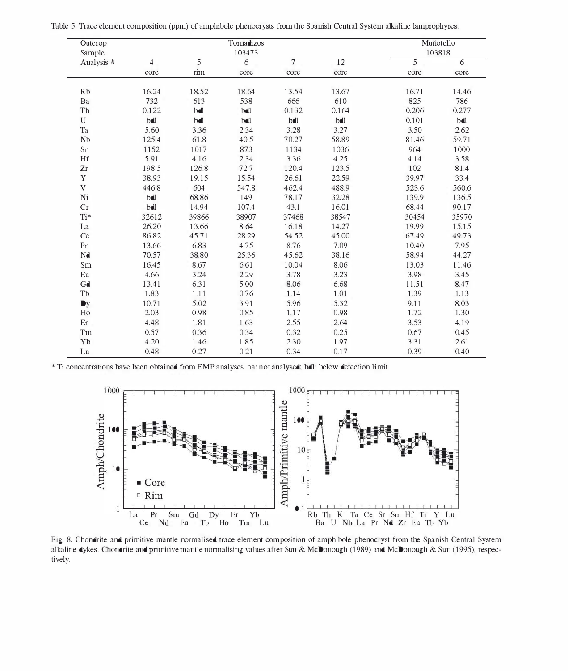| Outcrop                   |       |       | Muñotello      |        |       |       |       |  |
|---------------------------|-------|-------|----------------|--------|-------|-------|-------|--|
| Sample                    |       |       |                | 103818 |       |       |       |  |
| Analysis #                | 4     | 5     | $\overline{6}$ | 7      | 12    | 5     | 6     |  |
|                           | core  | rim   | core           | core   | core  | core  | core  |  |
| Rb                        | 16.24 | 18.52 | 18.64          | 13.54  | 13.67 | 16.71 | 14.46 |  |
| Ba                        | 732   | 613   | 538            | 666    | 610   | 825   | 786   |  |
| Th                        | 0.122 | bdl   | bdl            | 0.132  | 0.164 | 0.206 | 0.277 |  |
| U                         | bdl   | bdl   | bdl            | bdl    | bdl   | 0.101 | bdl   |  |
| Ta                        | 5.60  | 3.36  | 2.34           | 3.28   | 3.27  | 3.50  | 2.62  |  |
| Nb                        | 125.4 | 61.8  | 40.5           | 70.27  | 58.89 | 81.46 | 59.71 |  |
| Sr                        | 1152  | 1017  | 873            | 1134   | 1036  | 964   | 1000  |  |
| Hf                        | 5.91  | 4.16  | 2.34           | 3.36   | 4.25  | 4.14  | 3.58  |  |
| Zr                        | 198.5 | 126.8 | 72.7           | 120.4  | 123.5 | 102   | 81.4  |  |
| $\mathbf Y$               | 38.93 | 19.15 | 15.54          | 26.61  | 22.59 | 39.97 | 33.4  |  |
| $\ensuremath{\mathbf{V}}$ | 446.8 | 604   | 547.8          | 462.4  | 488.9 | 523.6 | 560.6 |  |
| Ni                        | bdl   | 68.86 | 149            | 78.17  | 32.28 | 139.9 | 136.5 |  |
| Cr                        | bdl   | 14.94 | 107.4          | 43.1   | 16.01 | 68.44 | 90.17 |  |
| $Ti*$                     | 32612 | 39866 | 38907          | 37468  | 38547 | 30454 | 35970 |  |
| La                        | 26.20 | 13.66 | 8.64           | 16.18  | 14.27 | 19.99 | 15.15 |  |
| Ce                        | 86.82 | 45.71 | 28.29          | 54.52  | 45.00 | 67.49 | 49.73 |  |
| Pr                        | 13.66 | 6.83  | 4.75           | 8.76   | 7.09  | 10.40 | 7.95  |  |
| Nd                        | 70.57 | 38.80 | 25.36          | 45.62  | 38.16 | 58.94 | 44.27 |  |
| Sm                        | 16.45 | 8.67  | 6.61           | 10.04  | 8.06  | 13.03 | 11.46 |  |
| Eu                        | 4.66  | 3.24  | 2.29           | 3.78   | 3.23  | 3.98  | 3.45  |  |
| Gd                        | 13.41 | 6.31  | 5.00           | 8.06   | 6.68  | 11.51 | 8.47  |  |
| Tb                        | 1.83  | 1.11  | 0.76           | 1.14   | 1.01  | 1.39  | 1.13  |  |
| $\mathbf{D}$ y            | 10.71 | 5.02  | 3.91           | 5.96   | 5.32  | 9.11  | 8.03  |  |
| Ho                        | 2.03  | 0.98  | 0.85           | 1.17   | 0.98  | 1.72  | 1.30  |  |
| Er                        | 4.48  | 1.81  | 1.63           | 2.55   | 2.64  | 3.53  | 4.19  |  |
| Tm                        | 0.57  | 0.36  | 0.34           | 0.32   | 0.25  | 0.67  | 0.45  |  |
| Yb                        | 4.20  | 1.46  | 1.85           | 2.30   | 1.97  | 3.31  | 2.61  |  |
| Lu                        | 0.48  | 0.27  | 0.21           | 0.34   | 0.17  | 0.39  | 0.40  |  |

Table 5. Trace element composition (ppm) of amphibole phenocrysts from the Spanish Central System alkaline lamprophyres.

\* Ti concentrations have been obtained from EMP analyses. na: not analysed; bell: below detection limit



Fig. 8. Chondrite and primitive mantle normalised trace element composition of amphibole phenocryst from the Spanish Central System alkaline dykes. Chondrite and primitive mantle normalising values after Sun & McDonough (1989) and McDonough & Sun (1995), respectively.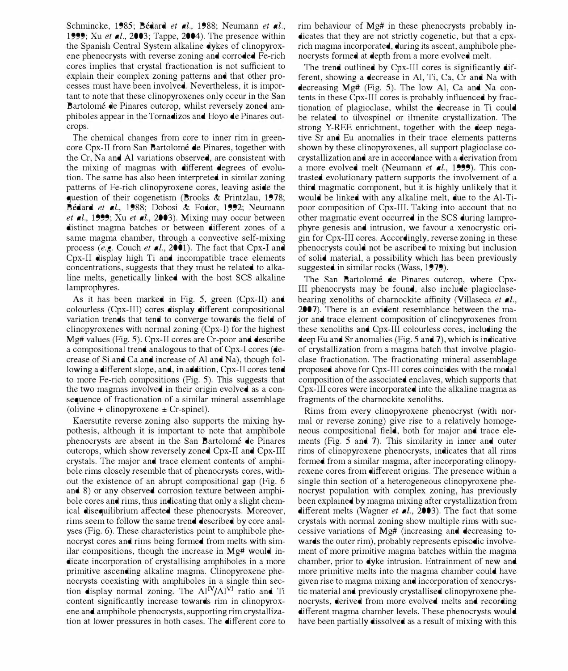Schmincke, 1985; Bédard et al., 1988; Neumann et al., 1999; Xu et al., 2003; Tappe, 2004). The presence within the Spanish Central System alkaline dykes of clinopyroxene phenocrysts with reverse zoning and corroded Fe-rich cores implies that crystal fractionation is not sufficient to explain their complex zoning patterns and that other processes must have been involved. Nevertheless, it is important to note that these clinopyroxenes only occur in the San Bartolomé de Pinares outcrop, whilst reversely zoned amphiboles appear in the Tornadizos and Hoyo de Pinares outcrops.

The chemical changes from core to inner rim in greencore Cpx-II from San Bartolomé de Pinares, together with the Cr, Na and Al variations observed, are consistent with the mixing of magmas with different degrees of evolution. The same has also been interpreted in similar zoning patterns of Fe-rich clinopyroxene cores, leaving aside the question of their cogenetism (Brooks & Printzlau, 1978; Bédard et al., 1988; Dobosi & Fodor, 1992; Neumann et  $al$ , 1999; Xu et  $al$ , 2003). Mixing may occur between distinct magma batches or between different zones of a same magma chamber, through a convective self-mixing process (e.g. Couch et  $al$ , 2001). The fact that Cpx-I and Cpx-II display high Ti and incompatible trace elements concentrations, suggests that they must be related to alkaline melts, genetically linked with the host SCS alkaline lamprophyres.

As it has been marked in Fig. 5, green (Cpx-II) and colourless (Cpx-III) cores display different compositional variation trends that tend to converge towards the field of clinopyroxenes with normal zoning (Cpx-I) for the highest Mg# values (Fig. 5). Cpx-II cores are Cr-poor and describe a compositional trend analogous to that of Cpx-I cores (decrease of Si and Ca and increase of Al and Na), though following a different slope, and, in addition, Cpx-II cores tend to more Fe-rich compositions (Fig. 5). This suggests that the two magmas involved in their origin evolved as a consequence of fractionation of a similar mineral assemblage (olivine + clinopyroxene  $\pm$  Cr-spinel).

Kaersutite reverse zoning also supports the mixing hypothesis, although it is important to note that amphibole phenocrysts are absent in the San Bartolomé de Pinares outcrops, which show reversely zoned Cpx-II and Cpx-III crystals. The major and trace element contents of amphibole rims closely resemble that of phenocrysts cores, without the existence of an abrupt compositional gap (Fig. 6 and 8) or any observed corrosion texture between amphibole cores and rims, thus indicating that only a slight chemical disequilibrium affected these phenocrysts. Moreover, rims seem to follow the same trend described by core analyses (Fig. 6). These characteristics point to amphibole phenocryst cores and rims being formed from melts with similar compositions, though the increase in Mg# would indicate incorporation of crystallising amphiboles in a more primitive ascending alkaline magma. Clinopyroxene phenocrysts coexisting with amphiboles in a single thin section display normal zoning. The  $Al<sup>IV</sup>/Al<sup>VI</sup>$  ratio and Ti content significantly increase towards rim in clinopyroxene and amphibole phenocrysts, supporting rim crystallization at lower pressures in both cases. The different core to rim behaviour of Mg# in these phenocrysts probably indicates that they are not strictly cogenetic, but that a cpxrich magma incorporated, during its ascent, amphibole phenocrysts formed at depth from a more evolved melt.

The trend outlined by Cpx-III cores is significantly different, showing a decrease in Al, Ti, Ca, Cr and Na with decreasing Mg# (Fig. 5). The low AI, Ca and Na contents in these Cpx-III cores is probably influenced by fractionation of plagioclase, whilst the decrease in Ti could be related to tilvospinel or ilmenite crystallization. The strong Y-REE enrichment, together with the deep negative Sr and Eu anomalies in their trace elements patterns shown by these clinopyroxenes, all support plagioclase cocrystallization and are in accordance with a derivation from a more evolved melt (Neumann et al., 1999). This contrasted evolutionary pattern supports the involvement of a third magmatic component, but it is highly unlikely that it would be linked with any alkaline melt, due to the AI-Tipoor composition of Cpx-III. Taking into account that no other magmatic event occurred in the SCS during lamprophyre genesis and intrusion, we favour a xenocrystic origin for Cpx-III cores. Accordingly, reverse zoning in these phenocrysts could not be ascribed to mixing but inclusion of solid material, a possibility which has been previously suggested in similar rocks (Wass, 1979).

The San Bartolomé de Pinares outcrop, where Cpx-III phenocrysts may be found, also include plagioclasebearing xenoliths of charnockite affinity (Villaseca et al., 2007). There is an evident resemblance between the major and trace element composition of clinopyroxenes from these xenoliths and Cpx-III colourless cores, including the deep Eu and Sr anomalies (Fig. 5 and 7), which is indicative of crystallization from a magma batch that involve plagioclase fractionation. The fractionating mineral assemblage proposed above for Cpx-III cores coincides with the modal composition of the associated enclaves, which supports that Cpx-III cores were incorporated into the alkaline magma as fragments of the charnockite xenoliths.

Rims from every clinopyroxene phenocryst (with normal or reverse zoning) give rise to a relatively homogeneous compositional field, both for major and trace elements (Fig. 5 and 7). This similarity in inner and outer rims of clinopyroxene phenocrysts, indicates that all rims formed from a similar magma, after incorporating clinopyroxene cores from different origins. The presence within a single thin section of a heterogeneous clinopyroxene phenocryst population with complex zoning, has previously been explained by magma mixing after crystallization from different melts (Wagner *et al.*, 2003). The fact that some crystals with normal zoning show multiple rims with successive variations of Mg# (increasing and decreasing towards the outer rim), probably represents episodic involvement of more primitive magma batches within the magma chamber, prior to dyke intrusion. Entrainment of new and more primitive melts into the magma chamber could have given rise to magma mixing and incorporation of xenocrystic material and previously crystallised clinopyroxene phenocrysts, derived from more evolved melts and recording different magma chamber levels. These phenocrysts would have been partially dissolved as a result of mixing with this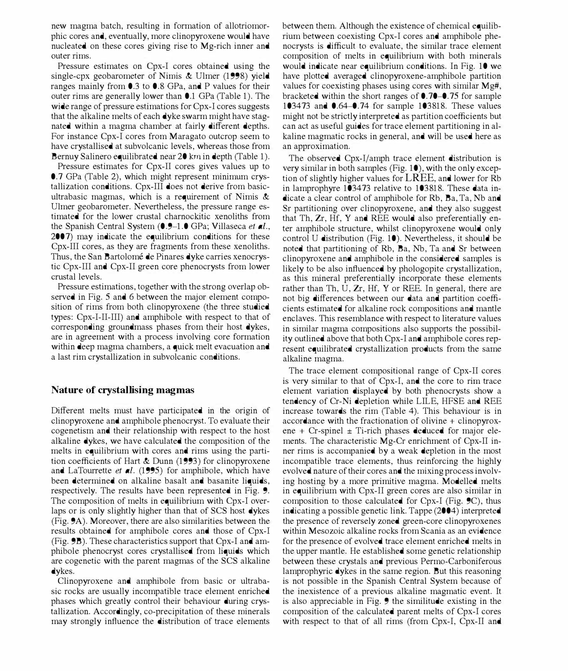new magma batch, resulting in formation of allotriomorphic cores and, eventually, more clinopyroxene would have nucleated on these cores giving rise to Mg-rich inner and outer rims.

Pressure estimates on Cpx-I cores obtained using the single-cpx geobarometer of Nimis & Ulmer (1998) yield ranges mainly from 0.3 to 0.8 GPa, and P values for their outer rims are generally lower than 0.1 GPa (Table 1). The wide range of pressure estimations for Cpx-I cores suggests that the alkaline melts of each dyke swarm might have stagnated within a magma chamber at fairly different depths. For instance Cpx-I cores from Maragato outcrop seem to have crystallised at subvolcanic levels, whereas those from Bernuy Salinero equilibrated near 20 km in depth (Table 1).

Pressure estimates for Cpx-II cores gives values up to 0.7 GPa (Table 2), which might represent minimum crystallization conditions. Cpx-III does not derive from basicultrabasic magmas, which is a requirement of Nimis & Ulmer geobarometer. Nevertheless, the pressure range estimated for the lower crustal charnockitic xenoliths from the Spanish Central System (0.9-1.0 GPa; Villaseca et al., 2007) may indicate the equilibrium conditions for these Cpx-III cores, as they are fragments from these xenoliths. Thus, the San Bartolomé de Pinares dyke carries xenocrystic Cpx-III and Cpx-II green core phenocrysts from lower crustal levels.

Pressure estimations, together with the strong overlap observed in Fig. 5 and 6 between the major element composition of rims from both clinopyroxene (the three studied types: Cpx-I-II-III) and amphibole with respect to that of corresponding groundmass phases from their host dykes, are in agreement with a process involving core formation within deep magma chambers, a quick melt evacuation and a last rim crystallization in subvolcanic conditions.

# Nature of crystallising magmas

Different melts must have participated in the origin of clinopyroxene and amphibole phenocryst. To evaluate their cogenetism and their relationship with respect to the host alkaline dykes, we have calculated the composition of the melts in equilibrium with cores and rims using the partition coefficients of Hart & Dunn (1993) for clinopyroxene and LaTourrette et  $al.$  (1995) for amphibole, which have been determined on alkaline basalt and basanite liquids, respectively. The results have been represented in Fig. 9. The composition of melts in equilibrium with Cpx-I overlaps or is only slightly higher than that of SCS host dykes (Fig. 9A). Moreover, there are also similarities between the results obtained for amphibole cores and those of Cpx-I (Fig. 9B). These characteristics support that Cpx-I and amphibole phenocryst cores crystallised from liquids which are cogenetic with the parent magmas of the SCS alkaline dykes.

Clinopyroxene and amphibole from basic or ultrabasic rocks are usually incompatible trace element enriched phases which greatly control their behaviour during crystallization. Accordingly, co-precipitation of these minerals may strongly influence the distribution of trace elements between them. Although the existence of chemical equilibrium between coexisting Cpx-I cores and amphibole phenocrysts is difficult to evaluate, the similar trace element composition of melts in equilibrium with both minerals would indicate near equilibrium conditions. In Fig. 10 we have plotted averaged clinopyroxene-amphibole partition values for coexisting phases using cores with similar Mg#, bracketed within the short ranges of 0.70-0.75 for sample 103473 and 0.64-0.74 for sample 103818. These values might not be strictly interpreted as partition coefficients but can act as useful guides for trace element partitioning in alkaline magmatic rocks in general, and will be used here as an approximation.

The observed  $Cpx-I/amph$  trace element distribution is very similar in both samples (Fig. 10), with the only exception of slightly higher values for LREE, and lower for Rb in lamprophyre 103473 relative to 103818. These data indicate a clear control of amphibole for Rb, Ba, Ta, Nb and Sr partitioning over clinopyroxene, and they also suggest that Th, Zr, Hf, Y and REE would also preferentially enter amphibole structure, whilst clinopyroxene would only control U distribution (Fig. 10). Nevertheless, it should be noted that partitioning of Rb, Ba, Nb, Ta and Sr between clinopyroxene and amphibole in the considered samples is likely to be also influenced by phologopite crystallization. as this mineral preferentially incorporate these elements rather than Th, U, Zr, Hf, Y or REE. In general, there are not big differences between our data and partition coefficients estimated for alkaline rock compositions and mantle enclaves. This resemblance with respect to literature values in similar magma compositions also supports the possibility outlined above that both Cpx-I and amphibole cores represent equilibrated crystallization products from the same alkaline magma.

The trace element compositional range of Cpx-II cores is very similar to that of Cpx-I, and the core to rim trace element variation displayed by both phenocrysts show a tendency of Cr-Ni depletion while LILE, HFSE and REE increase towards the rim (Table 4). This behaviour is in accordance with the fractionation of olivine + clinopyroxene + Cr-spinel  $\pm$  Ti-rich phases deduced for major elements. The characteristic Mg-Cr enrichment of Cpx-II inner rims is accompanied by a weak depletion in the most incompatible trace elements, thus reinforcing the highly evolved nature of their cores and the mixing process involving hosting by a more primitive magma. Modelled melts in equilibrium with Cpx-II green cores are also similar in composition to those calculated for Cpx-I (Fig. 9C), thus indicating a possible genetic link. Tappe (2004) interpreted the presence of reversely zoned green-core clinopyroxenes within Mesozoic alkaline rocks from Scania as an evidence for the presence of evolved trace element enriched melts in the upper mantle. He established some genetic relationship between these crystals and previous Permo-Carboniferous lamprophyric dykes in the same region. But this reasoning is not possible in the Spanish Central System because of the inexistence of a previous alkaline magmatic event. It is also appreciable in Fig. 9 the similitude existing in the composition of the calculated parent melts of Cpx-I cores with respect to that of all rims (from Cpx-I, Cpx-II and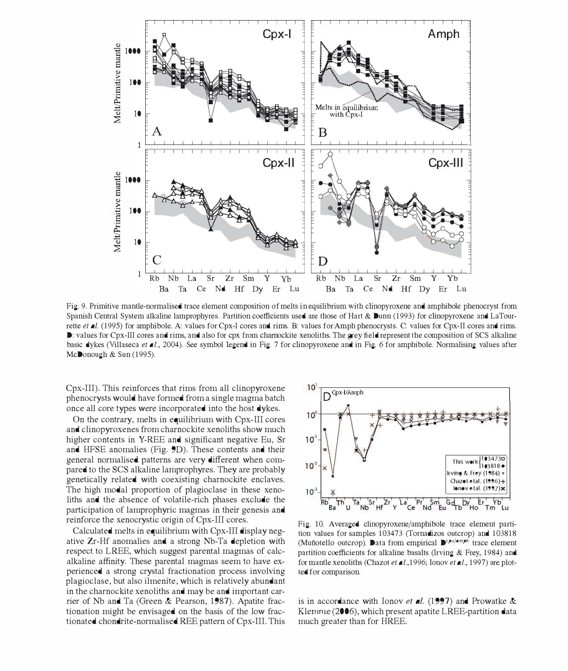

Fig. 9. Primitive mantle-normalised trace element composition of melts in equilibrium with clinopyroxene and amphibole phenocryst from Spanish Central System alkaline lamprophyres. Partition coefficients used are those of Hart & Dunn (1993) for clinopyroxene and LaTourrette et al. (1995) for amphibole. A: values for Cpx-I cores and rims. B: values for Amph phenocrysts. C: values for Cpx-II cores and rims. • values for Cpx-III cores and rims, and also for cpx from charnockite xenoliths. The grey field represent the composition of SCS alkaline basic dykes (Villaseca et al., 2004). See symbol legend in Fig. 7 for clinopyroxene and in Fig. 6 for amphibole. Normalising values after McDonough & Sun (1995).

Cpx-III). This reinforces that rims from all clinopyroxene phenocrysts would have formed from a single magma batch once all core types were incorporated into the host dykes.

On the contrary, melts in equilibrium with Cpx-III cores and clinopyroxenes from charnockite xenoliths show much higher contents in Y-REE and significant negative Eu, Sr and HFSE anomalies (Fig. 9D). These contents and their general normalised patterns are very different when compared to the SCS alkaline lamprophyres. They are probably genetically related with coexisting charnockite enclaves. The high modal proportion of plagioclase in these xenoliths and the absence of volatile-rich phases exclude the participation of lamprophyric magmas in their genesis and reinforce the xenocrystic origin of Cpx-III cores.

Calculated melts in equilibrium with Cpx-III display negative Zr-Hf anomalies and a strong Nb-Ta depletion with respect to LREE, which suggest parental magmas of calcalkaline affinity. These parental magmas seem to have experienced a strong crystal fractionation process involving plagioclase, but also ilmenite, which is relatively abundant in the charnockite xenoliths and may be and important carrier of Nb and Ta (Green & Pearson, 1987). Apatite fractionation might be envisaged on the basis of the low fractionated chondrite-normalised REE pattern of Cpx-III. This



Fig. 10. Averaged clinopyroxene/amphibole trace element partition values for samples 103473 (Tornadizos outcrop) and 103818 (Muñotello outcrop). Data from empirical D<sup>c<sub>px/emph</sup> trace element</sup></sub> partition coefficients for alkaline basalts (Irving & Frey, 1984) and for mantle xenoliths (Chazot et al., 1996; Ionov et al., 1997) are plotted for comparison.

is in accordance with Ionov et al. (1997) and Prowatke & Klemme (2006), which present apatite LREE-partition data much greater than for HREE.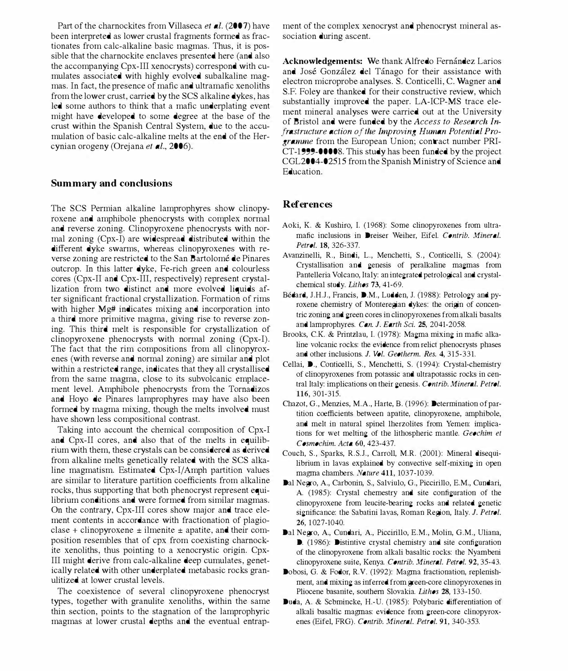Part of the charnockites from Villaseca et al. (2007) have been interpreted as lower crustal fragments formed as fractionates from calc-alkaline basic magmas. Thus, it is possible that the charnockite enclaves presented here (and also the accompanying Cpx-III xenocrysts) correspond with cumulates associated with highly evolved subalkaline magmas. In fact, the presence of mafic and ultramafic xenoliths from the lower crust, carried by the SCS alkaline dykes, has led some authors to think that a mafic underplating event might have developed to some degree at the base of the crust within the Spanish Central System, due to the accumulation of basic calc-alkaline melts at the end of the Hercynian orogeny (Orejana et al., 2006).

# Summary and conclusions

The SCS Permian alkaline lamprophyres show clinopyroxene and amphibole phenocrysts with complex normal and reverse zoning. Clinopyroxene phenocrysts with normal zoning (Cpx-I) are widespread distributed within the different dyke swarms, whereas clinopyroxenes with reverse zoning are restricted to the San Bartolomé de Pinares outcrop. In this latter dyke, Fe-rich green and colourless cores (Cpx-II and Cpx-III, respectively) represent crystallization from two distinct and more evolved liquids after significant fractional crystallization. Formation of rims with higher Mg# indicates mixing and incorporation into a third more primitive magma, giving rise to reverse zoning. This third melt is responsible for crystallization of clinopyroxene phenocrysts with normal zoning (Cpx-I). The fact that the rim compositions from all clinopyroxenes (with reverse and normal zoning) are similar and plot within a restricted range, indicates that they all crystallised from the same magma, close to its subvolcanic emplacement level. Amphibole phenocrysts from the Tornadizos and Hoyo de Pinares lamprophyres may have also been formed by magma mixing, though the melts involved must have shown less compositional contrast.

Taking into account the chemical composition of Cpx-I and Cpx-II cores, and also that of the melts in equilibrium with them, these crystals can be considered as derived from alkaline melts genetically related with the SCS alkaline magmatism. Estimated Cpx-I/Amph partition values are similar to literature partition coefficients from alkaline rocks, thus supporting that both phenocryst represent equilibrium conditions and were formed from similar magmas. On the contrary, Cpx-III cores show major and trace element contents in accordance with fractionation of plagioclase + clinopyroxene  $\pm$  ilmenite  $\pm$  apatite, and their composition resembles that of cpx from coexisting charnockite xenoliths, thus pointing to a xenocrystic origin. Cpx-III might derive from cale-alkaline deep cumulates, genetically related with other underplated metabasic rocks granulitized at lower crustal levels.

The coexistence of several clinopyroxene phenocryst types, together with granulite xenoliths, within the same thin section, points to the stagnation of the lamprophyric magmas at lower crustal depths and the eventual entrapment of the complex xenocryst and phenocryst mineral association during ascent.

Acknowledgements: We thank Alfredo Fernández Larios and José González del Tánago for their assistance with electron microprobe analyses. S. Conticelli, C. Wagner and S.P. Foley are thanked for their constructive review, which substantially improved the paper. LA-ICP-MS trace element mineral analyses were carried out at the University of Bristol and were funded by the Access to Research Infrastructure action of the Improving Human Potential Programme from the European Union; contract number PRI-CT-1999-0000S. This study has been funded by the project CGL2004-02515 from the Spanish Ministry of Science and Education.

# **References**

- Aoki, K. & Kushiro, I. (1968): Some clinopyroxenes from ultramafic inclusions in Dreiser Weiher, Eifel. Contrib. Mineral. Petrol. 18, 326-337.
- Avanzinelli, R., Bindi, L., Menchetti, S., Conticelli, S. (2004): Crystallisation and genesis of peralkaline magmas from Pantelleria Volcano, Italy: an integrated petrological and crystalchemical study. Lithos 73, 41-69.
- Bédard, J.H.J., Francis, D.M., Ludden, J. (1988): Petrology and pyroxene chemistry of Monteregian dykes: the origin of concentric zoning and green cores in clinopyroxenes from alkali basalts and lamprophyres. Can. J. Earth Sci. 25, 2041-2058.
- Brooks, C.K. & Printzlau, I. (1978): Magma mixing in mafic alkaline volcanic rocks: the evidence from relict phenocrysts phases and other inclusions. J. Vol. Geotherm. Res. 4, 315-331.
- Cellai, D., Conticelli, S., Menchetti, S. (1994): Crystal-chemistry of clinopyroxenes from potassic and ultrapotassic rocks in central Italy: implications on their genesis. Contrib. Mineral. Petrol. 116, 301-315.
- Chazot, G., Menzies, M.A., Harte, B. (1996): Determination of partition coefficients between apatite, clinopyroxene, amphioole, and melt in natural spinel lherzolites from Yemen: implications for wet melting of the lithospheric mantle. Geochim et Cosmochim. Acta 60, 423-437.
- Couch, S., Sparks, R.S.1., Carroll, M.R. (2001): Mineral disequilibrium in lavas explained by convective self-mixing in open magma chambers. Nature 411, 1037-1039.
- Dal Negro, A., Carbonin, S., Salviulo, G., Piccirillo, E.M., Cundari, A. (1985): Crystal chemestry and site configuration of the clinopyroxene from leucite-bearing rocks and related genetic significance: the Sabatini lavas, Roman Region, Italy. J. Petrol. 26, 1 027-1040.
- Dal Negro, A., Cundari, A., Piccirillo, E.M., Molin, G.M., Uliana, D. (1986): Distintive crystal chemistry and site configuration of the clinopyroxene from alkali basaltic rocks: the Nyambeni clinopyroxene suite, Kenya. Contrib. Mineral. Petrol. 92, 35-43.
- Dobosi, G. & Fodor, R.V. (1992): Magma fractionation, replenishment, and mixing as inferred from green-core clinopyroxenes in Pliocene basanite, southern Slovakia. Lithos 28, 133-150.
- Duda, A. & Scbmincke, H.-U. (1985): Polybaric differentiation of alkali basaltic magmas: evidence from green-core clinopyroxenes (Eifel, FRG). Contrib. Mineral. Petrol. 91, 340-353.